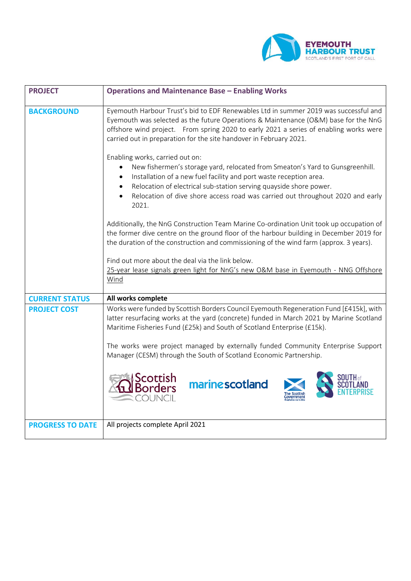

| <b>PROJECT</b>          | <b>Operations and Maintenance Base - Enabling Works</b>                                                                                                                                                                                                                                                                                                                   |
|-------------------------|---------------------------------------------------------------------------------------------------------------------------------------------------------------------------------------------------------------------------------------------------------------------------------------------------------------------------------------------------------------------------|
| <b>BACKGROUND</b>       | Eyemouth Harbour Trust's bid to EDF Renewables Ltd in summer 2019 was successful and<br>Eyemouth was selected as the future Operations & Maintenance (O&M) base for the NnG<br>offshore wind project. From spring 2020 to early 2021 a series of enabling works were<br>carried out in preparation for the site handover in February 2021.                                |
|                         | Enabling works, carried out on:<br>New fishermen's storage yard, relocated from Smeaton's Yard to Gunsgreenhill.<br>٠<br>Installation of a new fuel facility and port waste reception area.<br>$\bullet$<br>Relocation of electrical sub-station serving quayside shore power.<br>Relocation of dive shore access road was carried out throughout 2020 and early<br>2021. |
|                         | Additionally, the NnG Construction Team Marine Co-ordination Unit took up occupation of<br>the former dive centre on the ground floor of the harbour building in December 2019 for<br>the duration of the construction and commissioning of the wind farm (approx. 3 years).                                                                                              |
|                         | Find out more about the deal via the link below.<br>25-year lease signals green light for NnG's new O&M base in Eyemouth - NNG Offshore<br>Wind                                                                                                                                                                                                                           |
| <b>CURRENT STATUS</b>   | All works complete                                                                                                                                                                                                                                                                                                                                                        |
| <b>PROJECT COST</b>     | Works were funded by Scottish Borders Council Eyemouth Regeneration Fund [£415k], with<br>latter resurfacing works at the yard (concrete) funded in March 2021 by Marine Scotland<br>Maritime Fisheries Fund (£25k) and South of Scotland Enterprise (£15k).                                                                                                              |
|                         | The works were project managed by externally funded Community Enterprise Support<br>Manager (CESM) through the South of Scotland Economic Partnership.                                                                                                                                                                                                                    |
|                         | Scottish<br>Borders<br>marine scotland                                                                                                                                                                                                                                                                                                                                    |
| <b>PROGRESS TO DATE</b> | All projects complete April 2021                                                                                                                                                                                                                                                                                                                                          |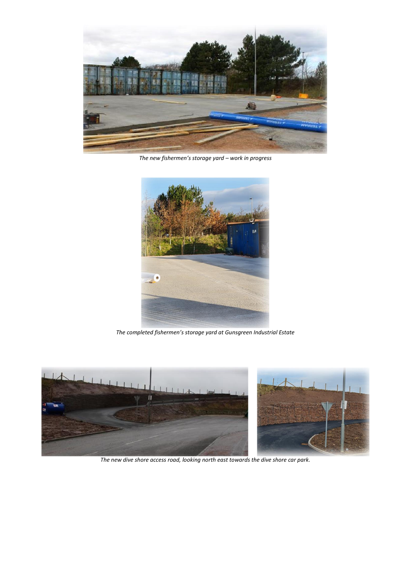

*The new fishermen's storage yard – work in progress*



*The completed fishermen's storage yard at Gunsgreen Industrial Estate*



*The new dive shore access road, looking north east towards the dive shore car park.*